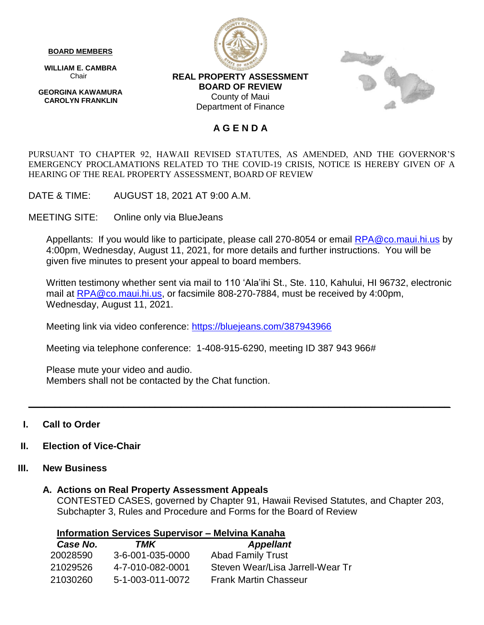#### **BOARD MEMBERS**

 **WILLIAM E. CAMBRA** Chair

 **GEORGINA KAWAMURA CAROLYN FRANKLIN**





### **REAL PROPERTY ASSESSMENT BOARD OF REVIEW** County of Maui Department of Finance

### **A G E N D A**

PURSUANT TO CHAPTER 92, HAWAII REVISED STATUTES, AS AMENDED, AND THE GOVERNOR'S EMERGENCY PROCLAMATIONS RELATED TO THE COVID-19 CRISIS, NOTICE IS HEREBY GIVEN OF A HEARING OF THE REAL PROPERTY ASSESSMENT, BOARD OF REVIEW

DATE & TIME: AUGUST 18, 2021 AT 9:00 A.M.

MEETING SITE: Online only via BlueJeans

Appellants: If you would like to participate, please call 270-8054 or email [RPA@co.maui.hi.us](mailto:RPA@co.maui.hi.us) by 4:00pm, Wednesday, August 11, 2021, for more details and further instructions. You will be given five minutes to present your appeal to board members.

Written testimony whether sent via mail to 110 'Ala'ihi St., Ste. 110, Kahului, HI 96732, electronic mail at [RPA@co.maui.hi.us,](mailto:RPA@co.maui.hi.us) or facsimile 808-270-7884, must be received by 4:00pm, Wednesday, August 11, 2021.

Meeting link via video conference: <https://bluejeans.com/387943966>

Meeting via telephone conference: 1-408-915-6290, meeting ID 387 943 966#

Please mute your video and audio. Members shall not be contacted by the Chat function.

### **I. Call to Order**

### **II. Election of Vice-Chair**

### **III. New Business**

### **A. Actions on Real Property Assessment Appeals**

CONTESTED CASES, governed by Chapter 91, Hawaii Revised Statutes, and Chapter 203, Subchapter 3, Rules and Procedure and Forms for the Board of Review

**\_\_\_\_\_\_\_\_\_\_\_\_\_\_\_\_\_\_\_\_\_\_\_\_\_\_\_\_\_\_\_\_\_\_\_\_\_\_\_\_\_\_\_\_\_\_\_\_\_\_\_\_\_\_\_\_\_\_\_\_\_\_\_\_\_\_\_\_\_\_\_\_\_\_\_\_\_\_\_\_**

| Information Services Supervisor – Melvina Kanaha |  |  |  |
|--------------------------------------------------|--|--|--|
|                                                  |  |  |  |

| Case No. | TMK              | <b>Appellant</b>                 |
|----------|------------------|----------------------------------|
| 20028590 | 3-6-001-035-0000 | <b>Abad Family Trust</b>         |
| 21029526 | 4-7-010-082-0001 | Steven Wear/Lisa Jarrell-Wear Tr |
| 21030260 | 5-1-003-011-0072 | <b>Frank Martin Chasseur</b>     |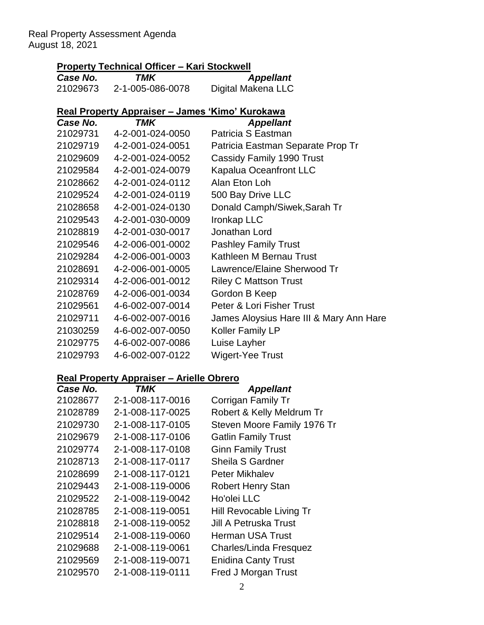Real Property Assessment Agenda August 18, 2021

## **Property Technical Officer – Kari Stockwell**

| Case No. | TMK              | <b>Appellant</b>   |
|----------|------------------|--------------------|
| 21029673 | 2-1-005-086-0078 | Digital Makena LLC |

# **Real Property Appraiser – James 'Kimo' Kurokawa**

| Case No. | TMK              | <b>Appellant</b>                        |
|----------|------------------|-----------------------------------------|
| 21029731 | 4-2-001-024-0050 | Patricia S Eastman                      |
| 21029719 | 4-2-001-024-0051 | Patricia Eastman Separate Prop Tr       |
| 21029609 | 4-2-001-024-0052 | Cassidy Family 1990 Trust               |
| 21029584 | 4-2-001-024-0079 | <b>Kapalua Oceanfront LLC</b>           |
| 21028662 | 4-2-001-024-0112 | Alan Eton Loh                           |
| 21029524 | 4-2-001-024-0119 | 500 Bay Drive LLC                       |
| 21028658 | 4-2-001-024-0130 | Donald Camph/Siwek, Sarah Tr            |
| 21029543 | 4-2-001-030-0009 | Ironkap LLC                             |
| 21028819 | 4-2-001-030-0017 | Jonathan Lord                           |
| 21029546 | 4-2-006-001-0002 | <b>Pashley Family Trust</b>             |
| 21029284 | 4-2-006-001-0003 | Kathleen M Bernau Trust                 |
| 21028691 | 4-2-006-001-0005 | Lawrence/Elaine Sherwood Tr             |
| 21029314 | 4-2-006-001-0012 | <b>Riley C Mattson Trust</b>            |
| 21028769 | 4-2-006-001-0034 | Gordon B Keep                           |
| 21029561 | 4-6-002-007-0014 | Peter & Lori Fisher Trust               |
| 21029711 | 4-6-002-007-0016 | James Aloysius Hare III & Mary Ann Hare |
| 21030259 | 4-6-002-007-0050 | <b>Koller Family LP</b>                 |
| 21029775 | 4-6-002-007-0086 | Luise Layher                            |
| 21029793 | 4-6-002-007-0122 | Wigert-Yee Trust                        |
|          |                  |                                         |

### **Real Property Appraiser – Arielle Obrero**

| Case No. | TMK              | <b>Appellant</b>            |
|----------|------------------|-----------------------------|
| 21028677 | 2-1-008-117-0016 | Corrigan Family Tr          |
| 21028789 | 2-1-008-117-0025 | Robert & Kelly Meldrum Tr   |
| 21029730 | 2-1-008-117-0105 | Steven Moore Family 1976 Tr |
| 21029679 | 2-1-008-117-0106 | <b>Gatlin Family Trust</b>  |
| 21029774 | 2-1-008-117-0108 | <b>Ginn Family Trust</b>    |
| 21028713 | 2-1-008-117-0117 | Sheila S Gardner            |
| 21028699 | 2-1-008-117-0121 | Peter Mikhalev              |
| 21029443 | 2-1-008-119-0006 | <b>Robert Henry Stan</b>    |
| 21029522 | 2-1-008-119-0042 | Ho'olei LLC                 |
| 21028785 | 2-1-008-119-0051 | Hill Revocable Living Tr    |
| 21028818 | 2-1-008-119-0052 | Jill A Petruska Trust       |
| 21029514 | 2-1-008-119-0060 | <b>Herman USA Trust</b>     |
| 21029688 | 2-1-008-119-0061 | Charles/Linda Fresquez      |
| 21029569 | 2-1-008-119-0071 | <b>Enidina Canty Trust</b>  |
| 21029570 | 2-1-008-119-0111 | Fred J Morgan Trust         |
|          |                  |                             |